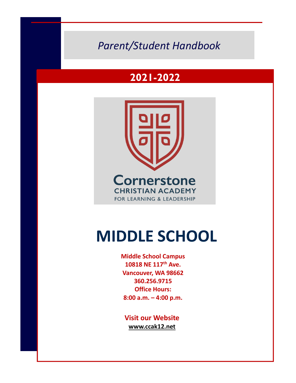# **2011-2012** *Parent/Student Handbook*

# **2021-2022**



# **MIDDLE SCHOOL**

**Middle School Campus 10818 NE 117th Ave. Vancouver, WA 98662 360.256.9715 Office Hours: 8:00 a.m. – 4:00 p.m.**

**Visit our Website www.ccak12.net**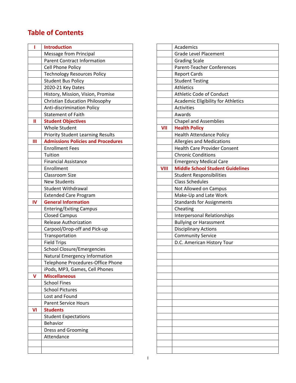# **Table of Contents**

|    | <b>Introduction</b>                       |             | Academics                                 |
|----|-------------------------------------------|-------------|-------------------------------------------|
|    | <b>Message from Principal</b>             |             | <b>Grade Level Placement</b>              |
|    | <b>Parent Contract Information</b>        |             | <b>Grading Scale</b>                      |
|    | Cell Phone Policy                         |             | <b>Parent-Teacher Conferences</b>         |
|    | <b>Technology Resources Policy</b>        |             | <b>Report Cards</b>                       |
|    | <b>Student Bus Policy</b>                 |             | <b>Student Testing</b>                    |
|    | 2020-21 Key Dates                         |             | Athletics                                 |
|    | History, Mission, Vision, Promise         |             | Athletic Code of Conduct                  |
|    | <b>Christian Education Philosophy</b>     |             | <b>Academic Eligibility for Athletics</b> |
|    | Anti-discrimination Policy                |             | Activities                                |
|    | <b>Statement of Faith</b>                 |             | Awards                                    |
| Ш  | <b>Student Objectives</b>                 |             | <b>Chapel and Assemblies</b>              |
|    | <b>Whole Student</b>                      | VII         | <b>Health Policy</b>                      |
|    | <b>Priority Student Learning Results</b>  |             | <b>Health Attendance Policy</b>           |
| Ш  | <b>Admissions Policies and Procedures</b> |             | Allergies and Medications                 |
|    | <b>Enrollment Fees</b>                    |             | <b>Health Care Provider Consent</b>       |
|    | Tuition                                   |             | <b>Chronic Conditions</b>                 |
|    | <b>Financial Assistance</b>               |             | <b>Emergency Medical Care</b>             |
|    | Enrollment                                | <b>VIII</b> | <b>Middle School Student Guidelin</b>     |
|    | <b>Classroom Size</b>                     |             | <b>Student Responsibilities</b>           |
|    | <b>New Students</b>                       |             | <b>Class Schedules</b>                    |
|    | <b>Student Withdrawal</b>                 |             | Not Allowed on Campus                     |
|    | <b>Extended Care Program</b>              |             | Make-Up and Late Work                     |
| IV | <b>General Information</b>                |             | <b>Standards for Assignments</b>          |
|    | <b>Entering/Exiting Campus</b>            |             | Cheating                                  |
|    | <b>Closed Campus</b>                      |             | <b>Interpersonal Relationships</b>        |
|    | <b>Release Authorization</b>              |             | <b>Bullying or Harassment</b>             |
|    | Carpool/Drop-off and Pick-up              |             | <b>Disciplinary Actions</b>               |
|    | Transportation                            |             | <b>Community Service</b>                  |
|    | <b>Field Trips</b>                        |             | D.C. American History Tour                |
|    | <b>School Closure/Emergencies</b>         |             |                                           |
|    | Natural Emergency Information             |             |                                           |
|    | Telephone Procedures-Office Phone         |             |                                           |
|    | iPods, MP3, Games, Cell Phones            |             |                                           |
| V  | <b>Miscellaneous</b>                      |             |                                           |
|    | <b>School Fines</b>                       |             |                                           |
|    | <b>School Pictures</b>                    |             |                                           |
|    | Lost and Found                            |             |                                           |
|    | <b>Parent Service Hours</b>               |             |                                           |
| VI | <b>Students</b>                           |             |                                           |
|    | <b>Student Expectations</b>               |             |                                           |
|    | Behavior                                  |             |                                           |
|    | <b>Dress and Grooming</b>                 |             |                                           |
|    | Attendance                                |             |                                           |
|    |                                           |             |                                           |
|    |                                           |             |                                           |
|    |                                           |             |                                           |

| <b>Introduction</b>                       |             | Academics                                 |
|-------------------------------------------|-------------|-------------------------------------------|
| Message from Principal                    |             | <b>Grade Level Placement</b>              |
| <b>Parent Contract Information</b>        |             | <b>Grading Scale</b>                      |
| Cell Phone Policy                         |             | Parent-Teacher Conferences                |
| <b>Technology Resources Policy</b>        |             | <b>Report Cards</b>                       |
| <b>Student Bus Policy</b>                 |             | <b>Student Testing</b>                    |
| 2020-21 Key Dates                         |             | Athletics                                 |
| History, Mission, Vision, Promise         |             | Athletic Code of Conduct                  |
| <b>Christian Education Philosophy</b>     |             | <b>Academic Eligibility for Athletics</b> |
| <b>Anti-discrimination Policy</b>         |             | Activities                                |
| <b>Statement of Faith</b>                 |             | Awards                                    |
| <b>Student Objectives</b>                 |             | <b>Chapel and Assemblies</b>              |
| <b>Whole Student</b>                      | VII         | <b>Health Policy</b>                      |
| <b>Priority Student Learning Results</b>  |             | <b>Health Attendance Policy</b>           |
| <b>Admissions Policies and Procedures</b> |             | Allergies and Medications                 |
| <b>Enrollment Fees</b>                    |             | <b>Health Care Provider Consent</b>       |
| Tuition                                   |             | <b>Chronic Conditions</b>                 |
| <b>Financial Assistance</b>               |             | <b>Emergency Medical Care</b>             |
| Enrollment                                | <b>VIII</b> | <b>Middle School Student Guidelines</b>   |
| <b>Classroom Size</b>                     |             | <b>Student Responsibilities</b>           |
| <b>New Students</b>                       |             | <b>Class Schedules</b>                    |
| Student Withdrawal                        |             | Not Allowed on Campus                     |
| <b>Extended Care Program</b>              |             | Make-Up and Late Work                     |
| <b>General Information</b>                |             | <b>Standards for Assignments</b>          |
| <b>Entering/Exiting Campus</b>            |             | Cheating                                  |
| <b>Closed Campus</b>                      |             | <b>Interpersonal Relationships</b>        |
| <b>Release Authorization</b>              |             | <b>Bullying or Harassment</b>             |
| Carpool/Drop-off and Pick-up              |             | <b>Disciplinary Actions</b>               |
| Transportation                            |             | <b>Community Service</b>                  |
| <b>Field Trips</b>                        |             | D.C. American History Tour                |
| <b>School Closure/Emergencies</b>         |             |                                           |
| Natural Emergency Information             |             |                                           |
| Telephone Procedures-Office Phone         |             |                                           |
| iPods, MP3, Games, Cell Phones            |             |                                           |
| <b>Miscellaneous</b>                      |             |                                           |
| <b>School Fines</b>                       |             |                                           |
| <b>School Pictures</b>                    |             |                                           |
| Lost and Found                            |             |                                           |
| <b>Parent Service Hours</b>               |             |                                           |
| <b>Students</b>                           |             |                                           |
| <b>Student Expectations</b>               |             |                                           |
| Behavior                                  |             |                                           |
| Dress and Grooming                        |             |                                           |
| Attendance                                |             |                                           |
|                                           |             |                                           |
|                                           |             |                                           |
|                                           |             |                                           |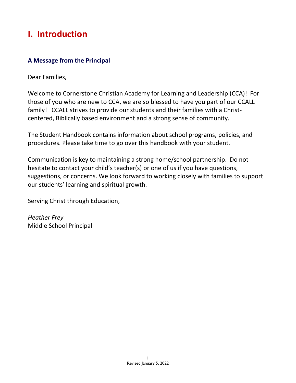# **I. Introduction**

# **A Message from the Principal**

Dear Families,

Welcome to Cornerstone Christian Academy for Learning and Leadership (CCA)! For those of you who are new to CCA, we are so blessed to have you part of our CCALL family! CCALL strives to provide our students and their families with a Christcentered, Biblically based environment and a strong sense of community.

The Student Handbook contains information about school programs, policies, and procedures. Please take time to go over this handbook with your student.

Communication is key to maintaining a strong home/school partnership. Do not hesitate to contact your child's teacher(s) or one of us if you have questions, suggestions, or concerns. We look forward to working closely with families to support our students' learning and spiritual growth.

Serving Christ through Education,

*Heather Frey* Middle School Principal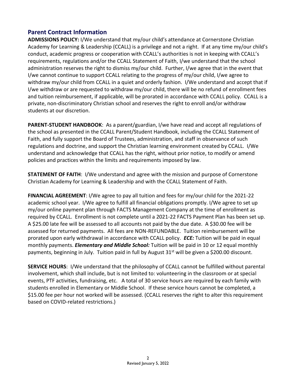### **Parent Contract Information**

**ADMISSIONS POLICY:** I/We understand that my/our child's attendance at Cornerstone Christian Academy for Learning & Leadership (CCALL) is a privilege and not a right. If at any time my/our child's conduct, academic progress or cooperation with CCALL's authorities is not in keeping with CCALL's requirements, regulations and/or the CCALL Statement of Faith, I/we understand that the school administration reserves the right to dismiss my/our child. Further, I/we agree that in the event that I/we cannot continue to support CCALL relating to the progress of my/our child, I/we agree to withdraw my/our child from CCALL in a quiet and orderly fashion. I/We understand and accept that if I/we withdraw or are requested to withdraw my/our child, there will be no refund of enrollment fees and tuition reimbursement, if applicable, will be prorated in accordance with CCALL policy. CCALL is a private, non-discriminatory Christian school and reserves the right to enroll and/or withdraw students at our discretion.

**PARENT-STUDENT HANDBOOK**: As a parent/guardian, I/we have read and accept all regulations of the school as presented in the CCALL Parent/Student Handbook, including the CCALL Statement of Faith, and fully support the Board of Trustees, administration, and staff in observance of such regulations and doctrine, and support the Christian learning environment created by CCALL. I/We understand and acknowledge that CCALL has the right, without prior notice, to modify or amend policies and practices within the limits and requirements imposed by law.

**STATEMENT OF FAITH**: I/We understand and agree with the mission and purpose of Cornerstone Christian Academy for Learning & Leadership and with the CCALL Statement of Faith.

**FINANCIAL AGREEMENT**: I/We agree to pay all tuition and fees for my/our child for the 2021-22 academic school year. I/We agree to fulfill all financial obligations promptly. I/We agree to set up my/our online payment plan through FACTS Management Company at the time of enrollment as required by CCALL. Enrollment is not complete until a 2021-22 FACTS Payment Plan has been set up. A \$25.00 late fee will be assessed to all accounts not paid by the due date. A \$30.00 fee will be assessed for returned payments. All fees are NON-REFUNDABLE. Tuition reimbursement will be prorated upon early withdrawal in accordance with CCALL policy. *ECE:* Tuition will be paid in equal monthly payments. *Elementary and Middle School:* Tuition will be paid in 10 or 12 equal monthly payments, beginning in July. Tuition paid in full by August  $31<sup>st</sup>$  will be given a \$200.00 discount.

**SERVICE HOURS**: I/We understand that the philosophy of CCALL cannot be fulfilled without parental involvement, which shall include, but is not limited to: volunteering in the classroom or at special events, PTF activities, fundraising, etc. A total of 30 service hours are required by each family with students enrolled in Elementary or Middle School. If these service hours cannot be completed, a \$15.00 fee per hour not worked will be assessed. (CCALL reserves the right to alter this requirement based on COVID-related restrictions.)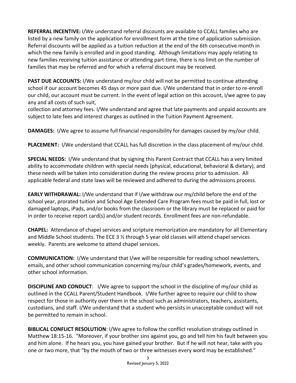**REFERRAL INCENTIVE:** I/We understand referral discounts are available to CCALL families who are listed by a new family on the application for enrollment form at the time of application submission. Referral discounts will be applied as a tuition reduction at the end of the 6th consecutive month in which the new family is enrolled and in good standing. Although limitations may apply relating to new families receiving tuition assistance or attending part-time, there is no limit on the number of families that may be referred and for which a referral discount may be received.

**PAST DUE ACCOUNTS:** I/We understand my/our child will not be permitted to continue attending school if our account becomes 45 days or more past due. I/We understand that in order to re-enroll our child, our account must be current. In the event of legal action on this account, I/we agree to pay any and all costs of such suit,

collection and attorney fees. I/We understand and agree that late payments and unpaid accounts are subject to late fees and interest charges as outlined in the Tuition Payment Agreement.

**DAMAGES:** I/We agree to assume full financial responsibility for damages caused by my/our child.

**PLACEMENT:** I/We understand that CCALL has full discretion in the class placement of my/our child.

**SPECIAL NEEDS:** I/We understand that by signing this Parent Contract that CCALL has a very limited ability to accommodate children with special needs (physical, educational, behavioral & dietary), and these needs will be taken into consideration during the review process prior to admission. All applicable federal and state laws will be reviewed and adhered to during the admissions process.

**EARLY WITHDRAWAL:** I/We understand that if I/we withdraw our my/child before the end of the school year, prorated tuition and School Age Extended Care Program fees must be paid in full, lost or damaged laptops, iPads, and/or books from the classroom or the library must be replaced or paid for in order to receive report card(s) and/or student records. Enrollment fees are non-refundable.

**CHAPEL:** Attendance of chapel services and scripture memorization are mandatory for all Elementary and Middle School students. The ECE 3 ½ through 5 year old classes will attend chapel services weekly. Parents are welcome to attend chapel services.

**COMMUNICATION:** I/We understand that I/we will be responsible for reading school newsletters, emails, and other school communication concerning my/our child's grades/homework, events, and other school information.

**DISCIPLINE AND CONDUCT**: I/We agree to support the school in the discipline of my/our child as outlined in the CCALL Parent/Student Handbook. I/We further agree to require our child to show respect for those in authority over them in the school such as administrators, teachers, assistants, custodians, and staff. I/We understand that a student who persists in unacceptable conduct will not be permitted to remain in school.

**BIBLICAL CONFLICT RESOLUTION**: I/We agree to follow the conflict resolution strategy outlined in Matthew 18:15-16. "Moreover, if your brother sins against you, go and tell him his fault between you and him alone. If he hears you, you have gained your brother. But if he will not hear, take with you one or two more, that "by the mouth of two or three witnesses every word may be established."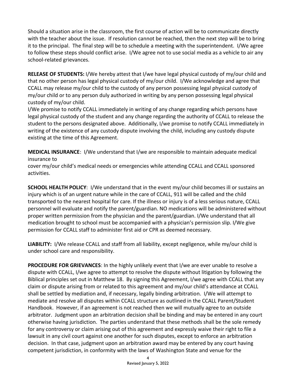Should a situation arise in the classroom, the first course of action will be to communicate directly with the teacher about the issue. If resolution cannot be reached, then the next step will be to bring it to the principal. The final step will be to schedule a meeting with the superintendent. I/We agree to follow these steps should conflict arise. I/We agree not to use social media as a vehicle to air any school-related grievances.

**RELEASE OF STUDENTS:** I/We hereby attest that I/we have legal physical custody of my/our child and that no other person has legal physical custody of my/our child. I/We acknowledge and agree that CCALL may release my/our child to the custody of any person possessing legal physical custody of my/our child or to any person duly authorized in writing by any person possessing legal physical custody of my/our child.

I/We promise to notify CCALL immediately in writing of any change regarding which persons have legal physical custody of the student and any change regarding the authority of CCALL to release the student to the persons designated above. Additionally, I/we promise to notify CCALL immediately in writing of the existence of any custody dispute involving the child, including any custody dispute existing at the time of this Agreement.

**MEDICAL INSURANCE**: I/We understand that I/we are responsible to maintain adequate medical insurance to

cover my/our child's medical needs or emergencies while attending CCALL and CCALL sponsored activities.

**SCHOOL HEALTH POLICY**: I/We understand that in the event my/our child becomes ill or sustains an injury which is of an urgent nature while in the care of CCALL, 911 will be called and the child transported to the nearest hospital for care. If the illness or injury is of a less serious nature, CCALL personnel will evaluate and notify the parent/guardian. NO medications will be administered without proper written permission from the physician and the parent/guardian. I/We understand that all medication brought to school must be accompanied with a physician's permission slip. I/We give permission for CCALL staff to administer first aid or CPR as deemed necessary.

**LIABILITY:** I/We release CCALL and staff from all liability, except negligence, while my/our child is under school care and responsibility.

**PROCEDURE FOR GRIEVANCES**: In the highly unlikely event that I/we are ever unable to resolve a dispute with CCALL, I/we agree to attempt to resolve the dispute without litigation by following the Biblical principles set out in Matthew 18. By signing this Agreement, I/we agree with CCALL that any claim or dispute arising from or related to this agreement and my/our child's attendance at CCALL shall be settled by mediation and, if necessary, legally binding arbitration. I/We will attempt to mediate and resolve all disputes within CCALL structure as outlined in the CCALL Parent/Student Handbook. However, if an agreement is not reached then we will mutually agree to an outside arbitrator. Judgment upon an arbitration decision shall be binding and may be entered in any court otherwise having jurisdiction. The parties understand that these methods shall be the sole remedy for any controversy or claim arising out of this agreement and expressly waive their right to file a lawsuit in any civil court against one another for such disputes, except to enforce an arbitration decision. In that case, judgment upon an arbitration award may be entered by any court having competent jurisdiction, in conformity with the laws of Washington State and venue for the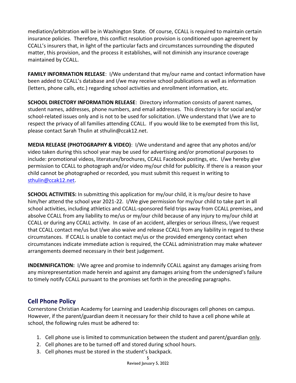mediation/arbitration will be in Washington State. Of course, CCALL is required to maintain certain insurance policies. Therefore, this conflict resolution provision is conditioned upon agreement by CCALL's insurers that, in light of the particular facts and circumstances surrounding the disputed matter, this provision, and the process it establishes, will not diminish any insurance coverage maintained by CCALL.

**FAMILY INFORMATION RELEASE**: I/We understand that my/our name and contact information have been added to CCALL's database and I/we may receive school publications as well as information (letters, phone calls, etc.) regarding school activities and enrollment information, etc.

**SCHOOL DIRECTORY INFORMATION RELEASE**: Directory information consists of parent names, student names, addresses, phone numbers, and email addresses. This directory is for social and/or school-related issues only and is not to be used for solicitation. I/We understand that I/we are to respect the privacy of all families attending CCALL. If you would like to be exempted from this list, please contact Sarah Thulin at sthulin@ccak12.net.

**MEDIA RELEASE (PHOTOGRAPHY & VIDEO)**: I/We understand and agree that any photos and/or video taken during this school year may be used for advertising and/or promotional purposes to include: promotional videos, literature/brochures, CCALL Facebook postings, etc. I/we hereby give permission to CCALL to photograph and/or video my/our child for publicity. If there is a reason your child cannot be photographed or recorded, you must submit this request in writing to [sthulin@ccak12.net.](mailto:sthulin@ccak12.net)

**SCHOOL ACTIVITIES:** In submitting this application for my/our child, it is my/our desire to have him/her attend the school year 2021-22. I/We give permission for my/our child to take part in all school activities, including athletics and CCALL-sponsored field trips away from CCALL premises, and absolve CCALL from any liability to me/us or my/our child because of any injury to my/our child at CCALL or during any CCALL activity. In case of an accident, allergies or serious illness, I/we request that CCALL contact me/us but I/we also waive and release CCALL from any liability in regard to these circumstances. If CCALL is unable to contact me/us or the provided emergency contact when circumstances indicate immediate action is required, the CCALL administration may make whatever arrangements deemed necessary in their best judgement.

**INDEMNIFICATION:** I/We agree and promise to indemnify CCALL against any damages arising from any misrepresentation made herein and against any damages arising from the undersigned's failure to timely notify CCALL pursuant to the promises set forth in the preceding paragraphs.

# **Cell Phone Policy**

Cornerstone Christian Academy for Learning and Leadership discourages cell phones on campus. However, if the parent/guardian deem it necessary for their child to have a cell phone while at school, the following rules must be adhered to:

- 1. Cell phone use is limited to communication between the student and parent/guardian only.
- 2. Cell phones are to be turned off and stored during school hours.
- 3. Cell phones must be stored in the student's backpack.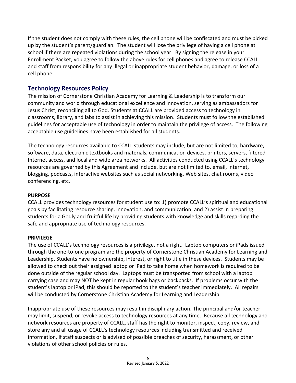If the student does not comply with these rules, the cell phone will be confiscated and must be picked up by the student's parent/guardian. The student will lose the privilege of having a cell phone at school if there are repeated violations during the school year. By signing the release in your Enrollment Packet, you agree to follow the above rules for cell phones and agree to release CCALL and staff from responsibility for any illegal or inappropriate student behavior, damage, or loss of a cell phone.

# **Technology Resources Policy**

The mission of Cornerstone Christian Academy for Learning & Leadership is to transform our community and world through educational excellence and innovation, serving as ambassadors for Jesus Christ, reconciling all to God. Students at CCALL are provided access to technology in classrooms, library, and labs to assist in achieving this mission. Students must follow the established guidelines for acceptable use of technology in order to maintain the privilege of access. The following acceptable use guidelines have been established for all students.

The technology resources available to CCALL students may include, but are not limited to, hardware, software, data, electronic textbooks and materials, communication devices, printers, servers, filtered Internet access, and local and wide area networks. All activities conducted using CCALL's technology resources are governed by this Agreement and include, but are not limited to, email, Internet, blogging, podcasts, interactive websites such as social networking, Web sites, chat rooms, video conferencing, etc.

#### **PURPOSE**

CCALL provides technology resources for student use to: 1) promote CCALL's spiritual and educational goals by facilitating resource sharing, innovation, and communication; and 2) assist in preparing students for a Godly and fruitful life by providing students with knowledge and skills regarding the safe and appropriate use of technology resources.

#### **PRIVILEGE**

The use of CCALL's technology resources is a privilege, not a right. Laptop computers or iPads issued through the one-to-one program are the property of Cornerstone Christian Academy for Learning and Leadership. Students have no ownership, interest, or right to title in these devices. Students may be allowed to check out their assigned laptop or iPad to take home when homework is required to be done outside of the regular school day. Laptops must be transported from school with a laptop carrying case and may NOT be kept in regular book bags or backpacks. If problems occur with the student's laptop or iPad, this should be reported to the student's teacher immediately. All repairs will be conducted by Cornerstone Christian Academy for Learning and Leadership.

Inappropriate use of these resources may result in disciplinary action. The principal and/or teacher may limit, suspend, or revoke access to technology resources at any time. Because all technology and network resources are property of CCALL, staff has the right to monitor, inspect, copy, review, and store any and all usage of CCALL's technology resources including transmitted and received information, if staff suspects or is advised of possible breaches of security, harassment, or other violations of other school policies or rules.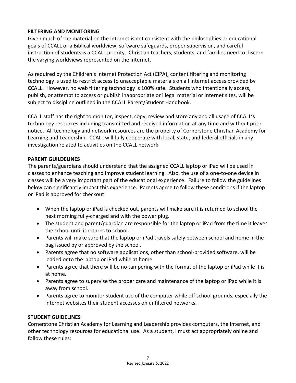#### **FILTERING AND MONITORING**

Given much of the material on the Internet is not consistent with the philosophies or educational goals of CCALL or a Biblical worldview, software safeguards, proper supervision, and careful instruction of students is a CCALL priority. Christian teachers, students, and families need to discern the varying worldviews represented on the Internet.

As required by the Children's Internet Protection Act (CIPA), content filtering and monitoring technology is used to restrict access to unacceptable materials on all Internet access provided by CCALL. However, no web filtering technology is 100% safe. Students who intentionally access, publish, or attempt to access or publish inappropriate or illegal material or Internet sites, will be subject to discipline outlined in the CCALL Parent/Student Handbook.

CCALL staff has the right to monitor, inspect, copy, review and store any and all usage of CCALL's technology resources including transmitted and received information at any time and without prior notice. All technology and network resources are the property of Cornerstone Christian Academy for Learning and Leadership. CCALL will fully cooperate with local, state, and federal officials in any investigation related to activities on the CCALL network.

#### **PARENT GUILDELINES**

The parents/guardians should understand that the assigned CCALL laptop or iPad will be used in classes to enhance teaching and improve student learning. Also, the use of a one-to-one device in classes will be a very important part of the educational experience. Failure to follow the guidelines below can significantly impact this experience. Parents agree to follow these conditions if the laptop or iPad is approved for checkout:

- When the laptop or iPad is checked out, parents will make sure it is returned to school the next morning fully-charged and with the power plug.
- The student and parent/guardian are responsible for the laptop or iPad from the time it leaves the school until it returns to school.
- Parents will make sure that the laptop or iPad travels safely between school and home in the bag issued by or approved by the school.
- Parents agree that no software applications, other than school-provided software, will be loaded onto the laptop or iPad while at home.
- Parents agree that there will be no tampering with the format of the laptop or iPad while it is at home.
- Parents agree to supervise the proper care and maintenance of the laptop or iPad while it is away from school.
- Parents agree to monitor student use of the computer while off school grounds, especially the internet websites their student accesses on unfiltered networks.

#### **STUDENT GUIDELINES**

Cornerstone Christian Academy for Learning and Leadership provides computers, the Internet, and other technology resources for educational use. As a student, I must act appropriately online and follow these rules: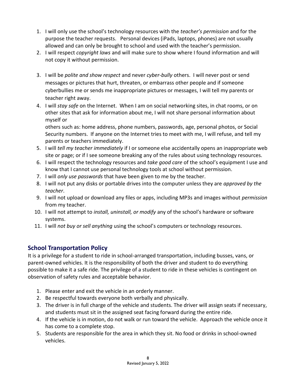- 1. I will only use the school's technology resources with the *teacher's permission* and for the purpose the teacher requests. Personal devices (iPads, laptops, phones) are not usually allowed and can only be brought to school and used with the teacher's permission.
- 2. I will respect *copyright laws* and will make sure to show where I found information and will not copy it without permission.
- 3. I will be *polite and show respect* and never *cyber-bully* others. I will never post or send messages or pictures that hurt, threaten, or embarrass other people and if someone cyberbullies me or sends me inappropriate pictures or messages, I will tell my parents or teacher right away.
- 4. I will *stay safe* on the Internet. When I am on social networking sites, in chat rooms, or on other sites that ask for information about me, I will not share personal information about myself or

others such as: home address, phone numbers, passwords, age, personal photos, or Social Security numbers. If anyone on the Internet tries to meet with me, I will refuse, and tell my parents or teachers immediately.

- 5. I will *tell my teacher immediately* if I or someone else accidentally opens an inappropriate web site or page; or if I see someone breaking any of the rules about using technology resources.
- 6. I will respect the technology resources and *take good care* of the school's equipment I use and know that I cannot use personal technology tools at school without permission.
- 7. I will *only use passwords* that have been given to me by the teacher.
- 8. I will not put any disks or portable drives into the computer unless they are *approved by the teacher*.
- 9. I will not upload or download any files or apps, including MP3s and images without *permission* from my teacher.
- 10. I will not attempt to *install, uninstall, or modify* any of the school's hardware or software systems.
- 11. I will *not buy or sell anything* using the school's computers or technology resources.

# **School Transportation Policy**

It is a privilege for a student to ride in school-arranged transportation, including busses, vans, or parent-owned vehicles. It is the responsibility of both the driver and student to do everything possible to make it a safe ride. The privilege of a student to ride in these vehicles is contingent on observation of safety rules and acceptable behavior.

- 1. Please enter and exit the vehicle in an orderly manner.
- 2. Be respectful towards everyone both verbally and physically.
- 3. The driver is in full charge of the vehicle and students. The driver will assign seats if necessary, and students must sit in the assigned seat facing forward during the entire ride.
- 4. If the vehicle is in motion, do not walk or run toward the vehicle. Approach the vehicle once it has come to a complete stop.
- 5. Students are responsible for the area in which they sit. No food or drinks in school-owned vehicles.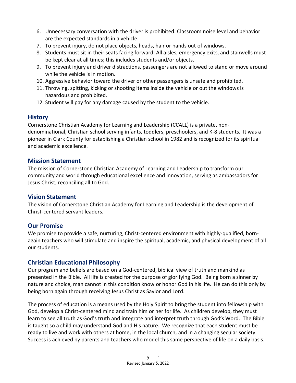- 6. Unnecessary conversation with the driver is prohibited. Classroom noise level and behavior are the expected standards in a vehicle.
- 7. To prevent injury, do not place objects, heads, hair or hands out of windows.
- 8. Students must sit in their seats facing forward. All aisles, emergency exits, and stairwells must be kept clear at all times; this includes students and/or objects.
- 9. To prevent injury and driver distractions, passengers are not allowed to stand or move around while the vehicle is in motion.
- 10. Aggressive behavior toward the driver or other passengers is unsafe and prohibited.
- 11. Throwing, spitting, kicking or shooting items inside the vehicle or out the windows is hazardous and prohibited.
- 12. Student will pay for any damage caused by the student to the vehicle.

#### **History**

Cornerstone Christian Academy for Learning and Leadership (CCALL) is a private, nondenominational, Christian school serving infants, toddlers, preschoolers, and K-8 students. It was a pioneer in Clark County for establishing a Christian school in 1982 and is recognized for its spiritual and academic excellence.

#### **Mission Statement**

The mission of Cornerstone Christian Academy of Learning and Leadership to transform our community and world through educational excellence and innovation, serving as ambassadors for Jesus Christ, reconciling all to God.

#### **Vision Statement**

The vision of Cornerstone Christian Academy for Learning and Leadership is the development of Christ-centered servant leaders.

#### **Our Promise**

We promise to provide a safe, nurturing, Christ-centered environment with highly-qualified, bornagain teachers who will stimulate and inspire the spiritual, academic, and physical development of all our students.

#### **Christian Educational Philosophy**

Our program and beliefs are based on a God-centered, biblical view of truth and mankind as presented in the Bible. All life is created for the purpose of glorifying God. Being born a sinner by nature and choice, man cannot in this condition know or honor God in his life. He can do this only by being born again through receiving Jesus Christ as Savior and Lord.

The process of education is a means used by the Holy Spirit to bring the student into fellowship with God, develop a Christ-centered mind and train him or her for life. As children develop, they must learn to see all truth as God's truth and integrate and interpret truth through God's Word. The Bible is taught so a child may understand God and His nature. We recognize that each student must be ready to live and work with others at home, in the local church, and in a changing secular society. Success is achieved by parents and teachers who model this same perspective of life on a daily basis.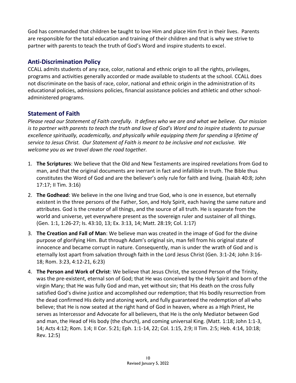God has commanded that children be taught to love Him and place Him first in their lives. Parents are responsible for the total education and training of their children and that is why we strive to partner with parents to teach the truth of God's Word and inspire students to excel.

# **Anti-Discrimination Policy**

CCALL admits students of any race, color, national and ethnic origin to all the rights, privileges, programs and activities generally accorded or made available to students at the school. CCALL does not discriminate on the basis of race, color, national and ethnic origin in the administration of its educational policies, admissions policies, financial assistance policies and athletic and other schooladministered programs.

# **Statement of Faith**

*Please read our Statement of Faith carefully. It defines who we are and what we believe. Our mission is to partner with parents to teach the truth and love of God's Word and to inspire students to pursue excellence spiritually, academically, and physically while equipping them for spending a lifetime of service to Jesus Christ. Our Statement of Faith is meant to be inclusive and not exclusive. We welcome you as we travel down the road together.*

- 1. **The Scriptures**: We believe that the Old and New Testaments are inspired revelations from God to man, and that the original documents are inerrant in fact and infallible in truth. The Bible thus constitutes the Word of God and are the believer's only rule for faith and living. (Isaiah 40:8; John 17:17; II Tim. 3:16)
- 2. **The Godhead**: We believe in the one living and true God, who is one in essence, but eternally existent in the three persons of the Father, Son, and Holy Spirit, each having the same nature and attributes. God is the creator of all things, and the source of all truth. He is separate from the world and universe, yet everywhere present as the sovereign ruler and sustainer of all things. (Gen. 1:1, 1:26-27; Is. 43:10, 13; Ex. 3:13, 14; Matt. 28:19; Col. 1:17)
- 3. **The Creation and Fall of Man**: We believe man was created in the image of God for the divine purpose of glorifying Him. But through Adam's original sin, man fell from his original state of innocence and became corrupt in nature. Consequently, man is under the wrath of God and is eternally lost apart from salvation through faith in the Lord Jesus Christ (Gen. 3:1-24; John 3:16- 18; Rom. 3:23, 4:12-21, 6:23)
- 4. **The Person and Work of Christ**: We believe that Jesus Christ, the second Person of the Trinity, was the pre-existent, eternal son of God; that He was conceived by the Holy Spirit and born of the virgin Mary; that He was fully God and man, yet without sin; that His death on the cross fully satisfied God's divine justice and accomplished our redemption; that His bodily resurrection from the dead confirmed His deity and atoning work, and fully guaranteed the redemption of all who believe; that He is now seated at the right hand of God in heaven, where as a High Priest, He serves as Intercessor and Advocate for all believers, that He is the only Mediator between God and man, the Head of His body (the church), and coming universal King. (Matt. 1:18; John 1:1-3, 14; Acts 4:12; Rom. 1:4; II Cor. 5:21; Eph. 1:1-14, 22; Col. 1:15, 2:9; II Tim. 2:5; Heb. 4:14, 10:18; Rev. 12:5)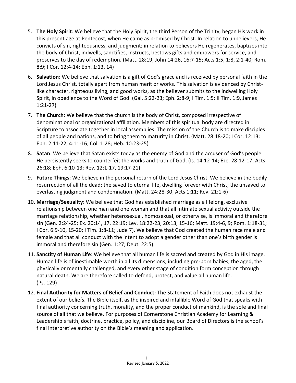- 5. **The Holy Spirit**: We believe that the Holy Spirit, the third Person of the Trinity, began His work in this present age at Pentecost, when He came as promised by Christ. In relation to unbelievers, He convicts of sin, righteousness, and judgment; in relation to believers He regenerates, baptizes into the body of Christ, indwells, sanctifies, instructs, bestows gifts and empowers for service, and preserves to the day of redemption. (Matt. 28:19; John 14:26, 16:7-15; Acts 1:5, 1:8, 2:1-40; Rom. 8:9; I Cor. 12:4-14; Eph. 1:13, 14)
- 6. **Salvation**: We believe that salvation is a gift of God's grace and is received by personal faith in the Lord Jesus Christ, totally apart from human merit or works. This salvation is evidenced by Christlike character, righteous living, and good works, as the believer submits to the indwelling Holy Spirit, in obedience to the Word of God. (Gal. 5:22-23; Eph. 2:8-9; I Tim. 1:5; II Tim. 1:9, James 1:21-27)
- 7. **The Church**: We believe that the church is the body of Christ, composed irrespective of denominational or organizational affiliation. Members of this spiritual body are directed in Scripture to associate together in local assemblies. The mission of the Church is to make disciples of all people and nations, and to bring them to maturity in Christ. (Matt. 28:18-20; I Cor. 12:13; Eph. 2:11-22, 4:11-16; Col. 1:28; Heb. 10:23-25)
- 8. **Satan**: We believe that Satan exists today as the enemy of God and the accuser of God's people. He persistently seeks to counterfeit the works and truth of God. (Is. 14:12-14; Eze. 28:12-17; Acts 26:18; Eph. 6:10-13; Rev. 12:1-17, 19:17-21)
- 9. **Future Things**: We believe in the personal return of the Lord Jesus Christ. We believe in the bodily resurrection of all the dead; the saved to eternal life, dwelling forever with Christ; the unsaved to everlasting judgment and condemnation. (Matt. 24:28-30; Acts 1:11; Rev. 21:1-6)
- 10. **Marriage/Sexuality**: We believe that God has established marriage as a lifelong, exclusive relationship between one man and one woman and that all intimate sexual activity outside the marriage relationship, whether heterosexual, homosexual, or otherwise, is immoral and therefore sin (Gen. 2:24-25; Ex. 20:14, 17, 22:19; Lev. 18:22-23, 20:13, 15-16; Matt. 19:4-6, 9; Rom. 1:18-31; I Cor. 6:9-10, 15-20; I Tim. 1:8-11; Jude 7). We believe that God created the human race male and female and that all conduct with the intent to adopt a gender other than one's birth gender is immoral and therefore sin (Gen. 1:27; Deut. 22:5).
- 11. **Sanctity of Human Life**: We believe that all human life is sacred and created by God in His image. Human life is of inestimable worth in all its dimensions, including pre-born babies, the aged, the physically or mentally challenged, and every other stage of condition form conception through natural death. We are therefore called to defend, protect, and value all human life. (Ps. 129)
- 12. **Final Authority for Matters of Belief and Conduct:** The Statement of Faith does not exhaust the extent of our beliefs. The Bible itself, as the inspired and infallible Word of God that speaks with final authority concerning truth, morality, and the proper conduct of mankind, is the sole and final source of all that we believe. For purposes of Cornerstone Christian Academy for Learning & Leadership's faith, doctrine, practice, policy, and discipline, our Board of Directors is the school's final interpretive authority on the Bible's meaning and application.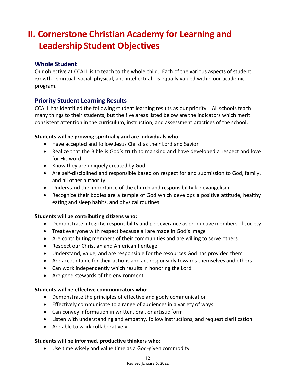# **II. Cornerstone Christian Academy for Learning and Leadership Student Objectives**

### **Whole Student**

Our objective at CCALL is to teach to the whole child. Each of the various aspects of student growth - spiritual, social, physical, and intellectual - is equally valued within our academic program.

# **Priority Student Learning Results**

CCALL has identified the following student learning results as our priority. All schools teach many things to their students, but the five areas listed below are the indicators which merit consistent attention in the curriculum, instruction, and assessment practices of the school.

#### **Students will be growing spiritually and are individuals who:**

- Have accepted and follow Jesus Christ as their Lord and Savior
- Realize that the Bible is God's truth to mankind and have developed a respect and love for His word
- Know they are uniquely created by God
- Are self-disciplined and responsible based on respect for and submission to God, family, and all other authority
- Understand the importance of the church and responsibility for evangelism
- Recognize their bodies are a temple of God which develops a positive attitude, healthy eating and sleep habits, and physical routines

#### **Students will be contributing citizens who:**

- Demonstrate integrity, responsibility and perseverance as productive members of society
- Treat everyone with respect because all are made in God's image
- Are contributing members of their communities and are willing to serve others
- Respect our Christian and American heritage
- Understand, value, and are responsible for the resources God has provided them
- Are accountable for their actions and act responsibly towards themselves and others
- Can work independently which results in honoring the Lord
- Are good stewards of the environment

#### **Students will be effective communicators who:**

- Demonstrate the principles of effective and godly communication
- Effectively communicate to a range of audiences in a variety of ways
- Can convey information in written, oral, or artistic form
- Listen with understanding and empathy, follow instructions, and request clarification
- Are able to work collaboratively

#### **Students will be informed, productive thinkers who:**

• Use time wisely and value time as a God-given commodity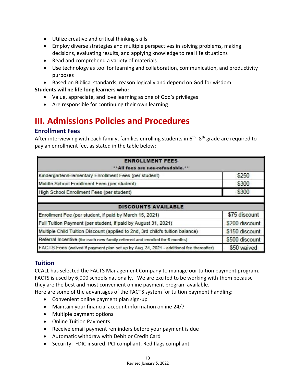- Utilize creative and critical thinking skills
- Employ diverse strategies and multiple perspectives in solving problems, making decisions, evaluating results, and applying knowledge to real life situations
- Read and comprehend a variety of materials
- Use technology as tool for learning and collaboration, communication, and productivity purposes
- Based on Biblical standards, reason logically and depend on God for wisdom

#### **Students will be life-long learners who:**

- Value, appreciate, and love learning as one of God's privileges
- Are responsible for continuing their own learning

# **III. Admissions Policies and Procedures**

### **Enrollment Fees**

After interviewing with each family, families enrolling students in 6<sup>th</sup> -8<sup>th</sup> grade are required to pay an enrollment fee, as stated in the table below:

| <b>ENROLLMENT FEES</b>                                                                  |                |
|-----------------------------------------------------------------------------------------|----------------|
| **All fees are non-refundable.**                                                        |                |
| Kindergarten/Elementary Enrollment Fees (per student)                                   | \$250          |
| Middle School Enrollment Fees (per student)                                             | \$300          |
| High School Enrollment Fees (per student)                                               | \$300          |
|                                                                                         |                |
| <b>DISCOUNTS AVAILABLE</b>                                                              |                |
| Enrollment Fee (per student, if paid by March 15, 2021)                                 | \$75 discount  |
| Full Tuition Payment (per student, if paid by August 31, 2021)                          | \$200 discount |
| Multiple Child Tuition Discount (applied to 2nd, 3rd child's tuition balance)           | \$150 discount |
| Referral Incentive (for each new family referred and enrolled for 6 months)             | \$500 discount |
| FACTS Fees (waived if payment plan set up by Aug. 31, 2021 - additional fee thereafter) | \$50 waived    |

#### **Tuition**

CCALL has selected the FACTS Management Company to manage our tuition payment program. FACTS is used by 6,000 schools nationally. We are excited to be working with them because they are the best and most convenient online payment program available.

Here are some of the advantages of the FACTS system for tuition payment handling:

- Convenient online payment plan sign-up
- Maintain your financial account information online 24/7
- Multiple payment options
- Online Tuition Payments
- Receive email payment reminders before your payment is due
- Automatic withdraw with Debit or Credit Card
- Security: FDIC insured; PCI compliant, Red flags compliant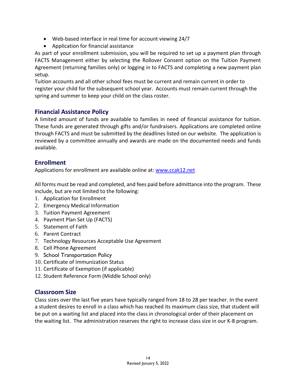- Web-based interface in real time for account viewing 24/7
- Application for financial assistance

As part of your enrollment submission, you will be required to set up a payment plan through FACTS Management either by selecting the Rollover Consent option on the Tuition Payment Agreement (returning families only) or logging in to FACTS and completing a new payment plan setup.

Tuition accounts and all other school fees must be current and remain current in order to register your child for the subsequent school year. Accounts must remain current through the spring and summer to keep your child on the class roster.

### **Financial Assistance Policy**

A limited amount of funds are available to families in need of financial assistance for tuition. These funds are generated through gifts and/or fundraisers. Applications are completed online through FACTS and must be submitted by the deadlines listed on our website. The application is reviewed by a committee annually and awards are made on the documented needs and funds available.

### **Enrollment**

Applications for enrollment are available online at: [www.ccak12.net](http://www.ccak12.net/)

All forms must be read and completed, and fees paid before admittance into the program. These include, but are not limited to the following:

- 1. Application for Enrollment
- 2. Emergency Medical Information
- 3. Tuition Payment Agreement
- 4. Payment Plan Set Up (FACTS)
- 5. Statement of Faith
- 6. Parent Contract
- 7. Technology Resources Acceptable Use Agreement
- 8. Cell Phone Agreement
- 9. School Transportation Policy
- 10. Certificate of Immunization Status
- 11. Certificate of Exemption (if applicable)
- 12. Student Reference Form (Middle School only)

#### **Classroom Size**

Class sizes over the last five years have typically ranged from 18 to 28 per teacher. In the event a student desires to enroll in a class which has reached its maximum class size, that student will be put on a waiting list and placed into the class in chronological order of their placement on the waiting list. The administration reserves the right to increase class size in our K-8 program.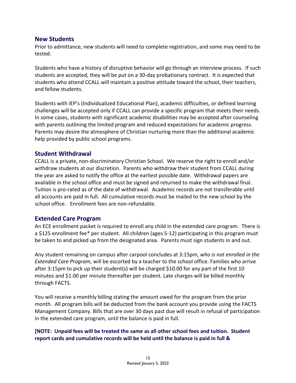#### **New Students**

Prior to admittance, new students will need to complete registration, and some may need to be tested.

Students who have a history of disruptive behavior will go through an interview process. If such students are accepted, they will be put on a 30-day probationary contract. It is expected that students who attend CCALL will maintain a positive attitude toward the school, their teachers, and fellow students.

Students with IEP's (Individualized Educational Plan), academic difficulties, or defined learning challenges will be accepted only if CCALL can provide a specific program that meets their needs. In some cases, students with significant academic disabilities may be accepted after counseling with parents outlining the limited program and reduced expectations for academic progress. Parents may desire the atmosphere of Christian nurturing more than the additional academic help provided by public school programs.

#### **Student Withdrawal**

CCALL is a private, non-discriminatory Christian School. We reserve the right to enroll and/or withdraw students at our discretion. Parents who withdraw their student from CCALL during the year are asked to notify the office at the earliest possible date. Withdrawal papers are available in the school office and must be signed and returned to make the withdrawal final. Tuition is pro-rated as of the date of withdrawal. Academic records are not transferable until all accounts are paid in full. All cumulative records must be mailed to the new school by the school office. Enrollment fees are non-refundable.

#### **Extended Care Program**

An ECE enrollment packet is required to enroll any child in the extended care program. There is a \$125 enrollment fee\* per student. All children (ages 5-12) participating in this program must be taken to and picked up from the designated area. Parents must sign students in and out.

Any student remaining on campus after carpool concludes at 3:15pm, *who is not enrolled in the Extended Care Program*, will be escorted by a teacher to the school office. Families who arrive after 3:15pm to pick up their student(s) will be charged \$10.00 for any part of the first 10 minutes and \$1.00 per minute thereafter per student. Late charges will be billed monthly through FACTS.

You will receive a monthly billing stating the amount owed for the program from the prior month. All program bills will be deducted from the bank account you provide using the FACTS Management Company. Bills that are over 30 days past due will result in refusal of participation in the extended care program, until the balance is paid in full.

#### **[NOTE: Unpaid fees will be treated the same as all other school fees and tuition. Student report cards and cumulative records will be held until the balance is paid in full &**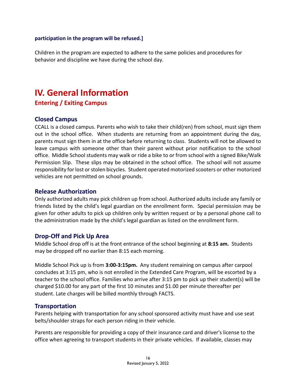#### **participation in the program will be refused.]**

Children in the program are expected to adhere to the same policies and procedures for behavior and discipline we have during the school day.

# **IV. General Information Entering / Exiting Campus**

#### **Closed Campus**

CCALL is a closed campus. Parents who wish to take their child(ren) from school, must sign them out in the school office. When students are returning from an appointment during the day, parents must sign them in at the office before returning to class. Students will not be allowed to leave campus with someone other than their parent without prior notification to the school office. Middle School students may walk or ride a bike to or from school with a signed Bike/Walk Permission Slip. These slips may be obtained in the school office. The school will not assume responsibility for lost or stolen bicycles. Student operated motorized scooters or other motorized vehicles are not permitted on school grounds.

#### **Release Authorization**

Only authorized adults may pick children up from school. Authorized adults include any family or friends listed by the child's legal guardian on the enrollment form. Special permission may be given for other adults to pick up children only by written request or by a personal phone call to the administration made by the child's legal guardian as listed on the enrollment form.

#### **Drop-Off and Pick Up Area**

Middle School drop off is at the front entrance of the school beginning at **8:15 am.** Students may be dropped off no earlier than 8:15 each morning.

Middle School Pick up is from **3:00-3:15pm.** Any student remaining on campus after carpool concludes at 3:15 pm, who is not enrolled in the Extended Care Program, will be escorted by a teacher to the school office. Families who arrive after 3:15 pm to pick up their student(s) will be charged \$10.00 for any part of the first 10 minutes and \$1.00 per minute thereafter per student. Late charges will be billed monthly through FACTS.

#### **Transportation**

Parents helping with transportation for any school sponsored activity must have and use seat belts/shoulder straps for each person riding in their vehicle.

Parents are responsible for providing a copy of their insurance card and driver's license to the office when agreeing to transport students in their private vehicles. If available, classes may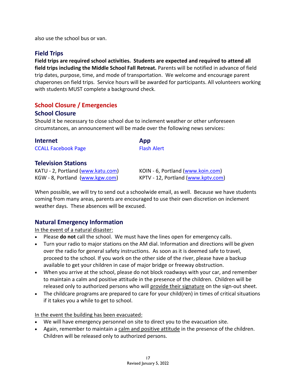also use the school bus or van.

# **Field Trips**

**Field trips are required school activities. Students are expected and required to attend all field trips including the Middle School Fall Retreat.** Parents will be notified in advance of field trip dates, purpose, time, and mode of transportation. We welcome and encourage parent chaperones on field trips. Service hours will be awarded for participants. All volunteers working with students MUST complete a background check.

# **School Closure / Emergencies**

### **School Closure**

Should it be necessary to close school due to inclement weather or other unforeseen circumstances, an announcement will be made over the following news services:

| <b>Internet</b>                   | App                                |
|-----------------------------------|------------------------------------|
| <b>CCALL Facebook Page</b>        | <b>Flash Alert</b>                 |
| <b>Television Stations</b>        |                                    |
| KATU - 2, Portland (www.katu.com) | KOIN - 6, Portland (www.koin.com)  |
| KGW - 8, Portland (www.kgw.com)   | KPTV - 12, Portland (www.kptv.com) |

When possible, we will try to send out a schoolwide email, as well. Because we have students coming from many areas, parents are encouraged to use their own discretion on inclement weather days. These absences will be excused.

# **Natural Emergency Information**

In the event of a natural disaster:

- Please **do not** call the school. We must have the lines open for emergency calls.
- Turn your radio to major stations on the AM dial. Information and directions will be given over the radio for general safety instructions. As soon as it is deemed safe to travel, proceed to the school. If you work on the other side of the river, please have a backup available to get your children in case of major bridge or freeway obstruction.
- When you arrive at the school, please do not block roadways with your car, and remember to maintain a calm and positive attitude in the presence of the children. Children will be released only to authorized persons who will provide their signature on the sign-out sheet.
- The childcare programs are prepared to care for your child(ren) in times of critical situations if it takes you a while to get to school.

In the event the building has been evacuated:

- We will have emergency personnel on site to direct you to the evacuation site.
- Again, remember to maintain a calm and positive attitude in the presence of the children. Children will be released only to authorized persons.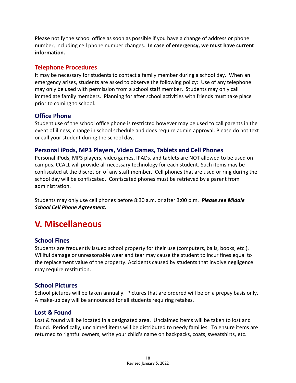Please notify the school office as soon as possible if you have a change of address or phone number, including cell phone number changes. **In case of emergency, we must have current information.**

### **Telephone Procedures**

It may be necessary for students to contact a family member during a school day. When an emergency arises, students are asked to observe the following policy: Use of any telephone may only be used with permission from a school staff member. Students may only call immediate family members. Planning for after school activities with friends must take place prior to coming to school.

### **Office Phone**

Student use of the school office phone is restricted however may be used to call parents in the event of illness, change in school schedule and does require admin approval. Please do not text or call your student during the school day.

#### **Personal iPods, MP3 Players, Video Games, Tablets and Cell Phones**

Personal iPods, MP3 players, video games, IPADs, and tablets are NOT allowed to be used on campus. CCALL will provide all necessary technology for each student. Such items may be confiscated at the discretion of any staff member. Cell phones that are used or ring during the school day will be confiscated. Confiscated phones must be retrieved by a parent from administration.

Students may only use cell phones before 8:30 a.m. or after 3:00 p.m. *Please see Middle School Cell Phone Agreement.*

# **V. Miscellaneous**

# **School Fines**

Students are frequently issued school property for their use (computers, balls, books, etc.). Willful damage or unreasonable wear and tear may cause the student to incur fines equal to the replacement value of the property. Accidents caused by students that involve negligence may require restitution.

#### **School Pictures**

School pictures will be taken annually. Pictures that are ordered will be on a prepay basis only. A make-up day will be announced for all students requiring retakes.

#### **Lost & Found**

Lost & found will be located in a designated area. Unclaimed items will be taken to lost and found. Periodically, unclaimed items will be distributed to needy families. To ensure items are returned to rightful owners, write your child's name on backpacks, coats, sweatshirts, etc.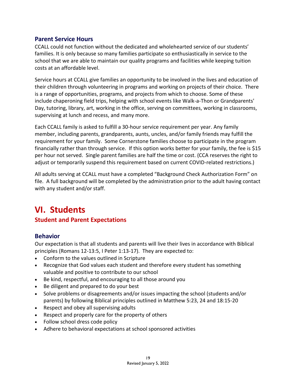#### **Parent Service Hours**

CCALL could not function without the dedicated and wholehearted service of our students' families. It is only because so many families participate so enthusiastically in service to the school that we are able to maintain our quality programs and facilities while keeping tuition costs at an affordable level.

Service hours at CCALL give families an opportunity to be involved in the lives and education of their children through volunteering in programs and working on projects of their choice. There is a range of opportunities, programs, and projects from which to choose. Some of these include chaperoning field trips, helping with school events like Walk-a-Thon or Grandparents' Day, tutoring, library, art, working in the office, serving on committees, working in classrooms, supervising at lunch and recess, and many more.

Each CCALL family is asked to fulfill a 30-hour service requirement per year. Any family member, including parents, grandparents, aunts, uncles, and/or family friends may fulfill the requirement for your family. Some Cornerstone families choose to participate in the program financially rather than through service. If this option works better for your family, the fee is \$15 per hour not served. Single parent families are half the time or cost. (CCA reserves the right to adjust or temporarily suspend this requirement based on current COVID-related restrictions.)

All adults serving at CCALL must have a completed "Background Check Authorization Form" on file. A full background will be completed by the administration prior to the adult having contact with any student and/or staff.

# **VI. Students**

# **Student and Parent Expectations**

# **Behavior**

Our expectation is that all students and parents will live their lives in accordance with Biblical principles (Romans 12-13:5, I Peter 1:13-17). They are expected to:

- Conform to the values outlined in Scripture
- Recognize that God values each student and therefore every student has something valuable and positive to contribute to our school
- Be kind, respectful, and encouraging to all those around you
- Be diligent and prepared to do your best
- Solve problems or disagreements and/or issues impacting the school (students and/or parents) by following Biblical principles outlined in Matthew 5:23, 24 and 18:15-20
- Respect and obey all supervising adults
- Respect and properly care for the property of others
- Follow school dress code policy
- Adhere to behavioral expectations at school sponsored activities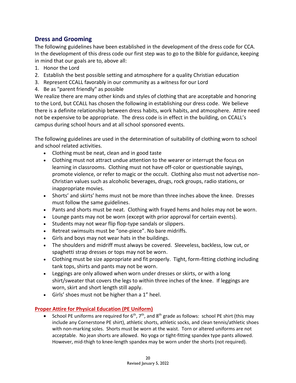# **Dress and Grooming**

The following guidelines have been established in the development of the dress code for CCA. In the development of this dress code our first step was to go to the Bible for guidance, keeping in mind that our goals are to, above all:

- 1. Honor the Lord
- 2. Establish the best possible setting and atmosphere for a quality Christian education
- 3. Represent CCALL favorably in our community as a witness for our Lord
- 4. Be as "parent friendly" as possible

We realize there are many other kinds and styles of clothing that are acceptable and honoring to the Lord, but CCALL has chosen the following in establishing our dress code. We believe there is a definite relationship between dress habits, work habits, and atmosphere. Attire need not be expensive to be appropriate. The dress code is in effect in the building, on CCALL's campus during school hours and at all school sponsored events.

The following guidelines are used in the determination of suitability of clothing worn to school and school related activities.

- Clothing must be neat, clean and in good taste
- Clothing must not attract undue attention to the wearer or interrupt the focus on learning in classrooms. Clothing must not have off-color or questionable sayings, promote violence, or refer to magic or the occult. Clothing also must not advertise non-Christian values such as alcoholic beverages, drugs, rock groups, radio stations, or inappropriate movies.
- Shorts' and skirts' hems must not be more than three inches above the knee. Dresses must follow the same guidelines.
- Pants and shorts must be neat. Clothing with frayed hems and holes may not be worn.
- Lounge pants may not be worn (except with prior approval for certain events).
- Students may not wear flip flop-type sandals or slippers.
- Retreat swimsuits must be "one-piece". No bare midriffs.
- Girls and boys may not wear hats in the buildings.
- The shoulders and midriff must always be covered. Sleeveless, backless, low cut, or spaghetti strap dresses or tops may not be worn.
- Clothing must be size appropriate and fit properly. Tight, form-fitting clothing including tank tops, shirts and pants may not be worn.
- Leggings are only allowed when worn under dresses or skirts, or with a long shirt/sweater that covers the legs to within three inches of the knee. If leggings are worn, skirt and short length still apply.
- Girls' shoes must not be higher than a 1" heel.

#### **Proper Attire for Physical Education (PE Uniform)**

• School PE uniforms are required for  $6<sup>th</sup>$ ,  $7<sup>th</sup>$ , and  $8<sup>th</sup>$  grade as follows: school PE shirt (this may include any Cornerstone PE shirt), athletic shorts, athletic socks, and clean tennis/athletic shoes with non-marking soles. Shorts must be worn at the waist. Torn or altered uniforms are not acceptable. No jean shorts are allowed. No yoga or tight-fitting spandex type pants allowed. However, mid-thigh to knee-length spandex may be worn under the shorts (not required).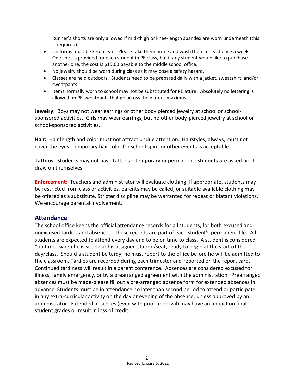Runner's shorts are only allowed if mid-thigh or knee-length spandex are worn underneath (this is required).

- Uniforms must be kept clean. Please take them home and wash them at least once a week. One shirt is provided for each student in PE class, but if any student would like to purchase another one, the cost is \$15.00 payable to the middle school office.
- No jewelry should be worn during class as it may pose a safety hazard.
- Classes are held outdoors. Students need to be prepared daily with a jacket, sweatshirt, and/or sweatpants.
- Items normally worn to school may not be substituted for PE attire. Absolutely no lettering is allowed on PE sweatpants that go across the gluteus maximus.

**Jewelry:** Boys may not wear earrings or other body pierced jewelry at school or schoolsponsored activities. Girls may wear earrings, but no other body-pierced jewelry at school or school-sponsored activities.

**Hair:** Hair length and color must not attract undue attention. Hairstyles, always, must not cover the eyes. Temporary hair color for school spirit or other events is acceptable.

**Tattoos:** Students may not have tattoos – temporary or permanent. Students are asked not to draw on themselves.

**Enforcement**: Teachers and administrator will evaluate clothing. If appropriate, students may be restricted from class or activities, parents may be called, or suitable available clothing may be offered as a substitute. Stricter discipline may be warranted for repeat or blatant violations. We encourage parental involvement.

#### **Attendance**

The school office keeps the official attendance records for all students, for both excused and unexcused tardies and absences. These records are part of each student's permanent file. All students are expected to attend every day and to be on time to class. A student is considered "on time" when he is sitting at his assigned station/seat, ready to begin at the start of the day/class. Should a student be tardy, he must report to the office before he will be admitted to the classroom. Tardies are recorded during each trimester and reported on the report card. Continued tardiness will result in a parent conference. Absences are considered excused for illness, family emergency, or by a prearranged agreement with the administration. Prearranged absences must be made-please fill out a pre-arranged absence form for extended absences in advance. Students must be in attendance no later than second period to attend or participate in any extra-curricular activity on the day or evening of the absence, unless approved by an administrator. Extended absences (even with prior approval) may have an impact on final student grades or result in loss of credit.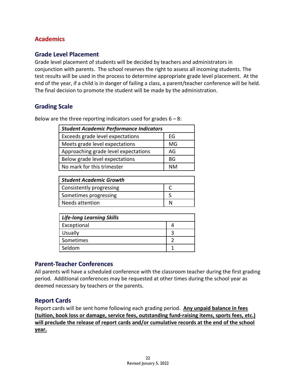# **Academics**

#### **Grade Level Placement**

Grade level placement of students will be decided by teachers and administrators in conjunction with parents. The school reserves the right to assess all incoming students. The test results will be used in the process to determine appropriate grade level placement. At the end of the year, if a child is in danger of failing a class, a parent/teacher conference will be held. The final decision to promote the student will be made by the administration.

#### **Grading Scale**

Below are the three reporting indicators used for grades  $6 - 8$ :

| <b>Student Academic Performance Indicators</b> |  |  |
|------------------------------------------------|--|--|
| EG                                             |  |  |
| MG                                             |  |  |
| AG                                             |  |  |
| ВG                                             |  |  |
| <b>NM</b>                                      |  |  |
|                                                |  |  |

| <b>Student Academic Growth</b> |  |  |
|--------------------------------|--|--|
| Consistently progressing       |  |  |
| Sometimes progressing          |  |  |
| Needs attention                |  |  |

| <b>Life-long Learning Skills</b> |  |  |
|----------------------------------|--|--|
| Exceptional                      |  |  |
| <b>Usually</b>                   |  |  |
| Sometimes                        |  |  |
| Seldom                           |  |  |

#### **Parent-Teacher Conferences**

All parents will have a scheduled conference with the classroom teacher during the first grading period. Additional conferences may be requested at other times during the school year as deemed necessary by teachers or the parents.

#### **Report Cards**

Report cards will be sent home following each grading period. **Any unpaid balance in fees (tuition, book loss or damage, service fees, outstanding fund-raising items, sports fees, etc.) will preclude the release of report cards and/or cumulative records at the end of the school year.**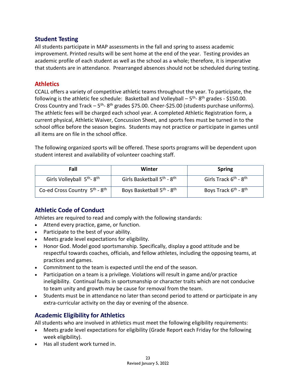### **Student Testing**

All students participate in MAP assessments in the fall and spring to assess academic improvement. Printed results will be sent home at the end of the year. Testing provides an academic profile of each student as well as the school as a whole; therefore, it is imperative that students are in attendance. Prearranged absences should not be scheduled during testing.

### **Athletics**

CCALL offers a variety of competitive athletic teams throughout the year. To participate, the following is the athletic fee schedule: Basketball and Volleyball  $-5$ <sup>th</sup>-8<sup>th</sup> grades - \$150.00. Cross Country and Track  $-5$ <sup>th</sup>-8<sup>th</sup> grades \$75.00. Cheer-\$25.00 (students purchase uniforms). The athletic fees will be charged each school year. A completed Athletic Registration form, a current physical, Athletic Waiver, Concussion Sheet, and sports fees must be turned in to the school office before the season begins. Students may not practice or participate in games until all items are on file in the school office.

The following organized sports will be offered. These sports programs will be dependent upon student interest and availability of volunteer coaching staff.

| Fall                                                  | Winter                                             | <b>Spring</b>                                |
|-------------------------------------------------------|----------------------------------------------------|----------------------------------------------|
| Girls Volleyball 5 <sup>th</sup> -8 <sup>th</sup>     | Girls Basketball 5 <sup>th</sup> - 8 <sup>th</sup> | Girls Track $6^{th}$ - $8^{th}$              |
| Co-ed Cross Country 5 <sup>th</sup> - 8 <sup>th</sup> | Boys Basketball 5 <sup>th</sup> - 8 <sup>th</sup>  | Boys Track 6 <sup>th</sup> - 8 <sup>th</sup> |

# **Athletic Code of Conduct**

Athletes are required to read and comply with the following standards:

- Attend every practice, game, or function.
- Participate to the best of your ability.
- Meets grade level expectations for eligibility.
- Honor God. Model good sportsmanship. Specifically, display a good attitude and be respectful towards coaches, officials, and fellow athletes, including the opposing teams, at practices and games.
- Commitment to the team is expected until the end of the season.
- Participation on a team is a privilege. Violations will result in game and/or practice ineligibility. Continual faults in sportsmanship or character traits which are not conducive to team unity and growth may be cause for removal from the team.
- Students must be in attendance no later than second period to attend or participate in any extra-curricular activity on the day or evening of the absence.

# **Academic Eligibility for Athletics**

All students who are involved in athletics must meet the following eligibility requirements:

- Meets grade level expectations for eligibility (Grade Report each Friday for the following week eligibility).
- Has all student work turned in.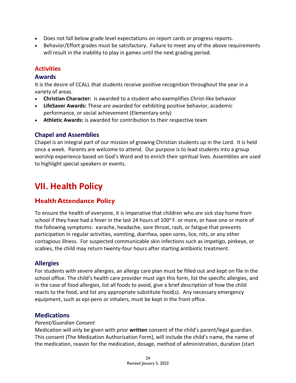- Does not fall below grade level expectations on report cards or progress reports.
- Behavior/Effort grades must be satisfactory. Failure to meet any of the above requirements will result in the inability to play in games until the next grading period.

### **Activities**

#### **Awards**

It is the desire of CCALL that students receive positive recognition throughout the year in a variety of areas.

- **Christian Character:** is awarded to a student who exemplifies Christ-like behavior
- **LifeSaver Awards:** These are awarded for exhibiting positive behavior, academic performance, or social achievement (Elementary only)
- **Athletic Awards:** is awarded for contribution to their respective team

#### **Chapel and Assemblies**

Chapel is an integral part of our mission of growing Christian students up in the Lord. It is held once a week. Parents are welcome to attend. Our purpose is to lead students into a group worship experience based on God's Word and to enrich their spiritual lives. Assemblies are used to highlight special speakers or events.

# **VII. Health Policy**

# **Health Attendance Policy**

To ensure the health of everyone, it is imperative that children who are sick stay home from school if they have had a fever in the last 24 hours of  $100^{\circ}$  F. or more, or have one or more of the following symptoms: earache, headache, sore throat, rash, or fatigue that prevents participation in regular activities, vomiting, diarrhea, open sores, lice, nits, or any other contagious illness. For suspected communicable skin infections such as impetigo, pinkeye, or scabies, the child may return twenty-four hours after starting antibiotic treatment.

#### **Allergies**

For students with severe allergies, an allergy care plan must be filled out and kept on file in the school office. The child's health care provider must sign this form, list the specific allergies, and in the case of food allergies, list all foods to avoid, give a brief description of how the child reacts to the food, and list any appropriate substitute food(s). Any necessary emergency equipment, such as epi-pens or inhalers, must be kept in the front office.

#### **Medications**

#### *Parent/Guardian Consent*

Medication will only be given with prior **written** consent of the child's parent/legal guardian. This consent (The Medication Authorization Form), will include the child's name, the name of the medication, reason for the medication, dosage, method of administration, duration (start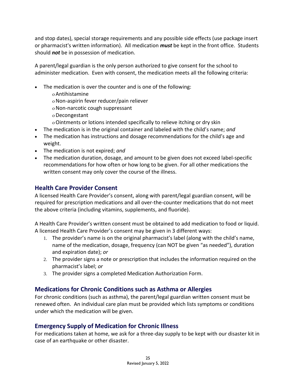and stop dates), special storage requirements and any possible side effects (use package insert or pharmacist's written information). All medication *must* be kept in the front office. Students should *not* be in possession of medication.

A parent/legal guardian is the only person authorized to give consent for the school to administer medication. Even with consent, the medication meets all the following criteria:

- The medication is over the counter and is one of the following:
	- Antihistamine
	- Non-aspirin fever reducer/pain reliever
	- Non-narcotic cough suppressant
	- Decongestant
	- Ointments or lotions intended specifically to relieve itching or dry skin
- The medication is in the original container and labeled with the child's name; *and*
- The medication has instructions and dosage recommendations for the child's age and weight.
- The medication is not expired; *and*
- The medication duration, dosage, and amount to be given does not exceed label-specific recommendations for how often or how long to be given. For all other medications the written consent may only cover the course of the illness.

### **Health Care Provider Consent**

A licensed Health Care Provider's consent, along with parent/legal guardian consent, will be required for prescription medications and all over-the-counter medications that do not meet the above criteria (including vitamins, supplements, and fluoride).

A Health Care Provider's written consent must be obtained to add medication to food or liquid. A licensed Health Care Provider's consent may be given in 3 different ways:

- 1. The provider's name is on the original pharmacist's label (along with the child's name, name of the medication, dosage, frequency (can NOT be given "as needed"), duration and expiration date); *or*
- 2. The provider signs a note or prescription that includes the information required on the pharmacist's label; *or*
- 3. The provider signs a completed Medication Authorization Form.

# **Medications for Chronic Conditions such as Asthma or Allergies**

For chronic conditions (such as asthma), the parent/legal guardian written consent must be renewed often. An individual care plan must be provided which lists symptoms or conditions under which the medication will be given.

#### **Emergency Supply of Medication for Chronic Illness**

For medications taken at home, we ask for a three-day supply to be kept with our disaster kit in case of an earthquake or other disaster.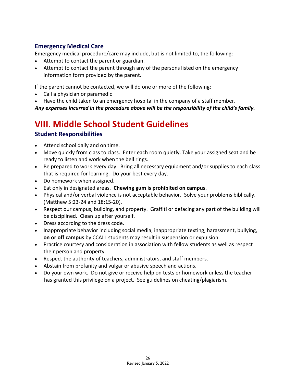# **Emergency Medical Care**

Emergency medical procedure/care may include, but is not limited to, the following:

- Attempt to contact the parent or guardian.
- Attempt to contact the parent through any of the persons listed on the emergency information form provided by the parent.

If the parent cannot be contacted, we will do one or more of the following:

- Call a physician or paramedic
- Have the child taken to an emergency hospital in the company of a staff member.

*Any expenses incurred in the procedure above will be the responsibility of the child's family.*

# **VIII. Middle School Student Guidelines**

# **Student Responsibilities**

- Attend school daily and on time.
- Move quickly from class to class. Enter each room quietly. Take your assigned seat and be ready to listen and work when the bell rings.
- Be prepared to work every day. Bring all necessary equipment and/or supplies to each class that is required for learning. Do your best every day.
- Do homework when assigned.
- Eat only in designated areas. **Chewing gum is prohibited on campus**.
- Physical and/or verbal violence is not acceptable behavior. Solve your problems biblically. (Matthew 5:23-24 and 18:15-20).
- Respect our campus, building, and property. Graffiti or defacing any part of the building will be disciplined. Clean up after yourself.
- Dress according to the dress code.
- Inappropriate behavior including social media, inappropriate texting, harassment, bullying, **on or off campus** by CCALL students may result in suspension or expulsion.
- Practice courtesy and consideration in association with fellow students as well as respect their person and property.
- Respect the authority of teachers, administrators, and staff members.
- Abstain from profanity and vulgar or abusive speech and actions.
- Do your own work. Do not give or receive help on tests or homework unless the teacher has granted this privilege on a project. See guidelines on cheating/plagiarism.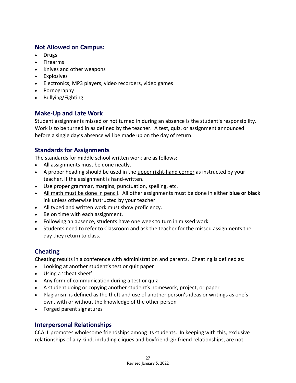### **Not Allowed on Campus:**

- Drugs
- Firearms
- Knives and other weapons
- Explosives
- Electronics; MP3 players, video recorders, video games
- Pornography
- Bullying/Fighting

# **Make-Up and Late Work**

Student assignments missed or not turned in during an absence is the student's responsibility. Work is to be turned in as defined by the teacher. A test, quiz, or assignment announced before a single day's absence will be made up on the day of return.

# **Standards for Assignments**

The standards for middle school written work are as follows:

- All assignments must be done neatly.
- A proper heading should be used in the upper right-hand corner as instructed by your teacher, if the assignment is hand-written.
- Use proper grammar, margins, punctuation, spelling, etc.
- All math must be done in pencil. All other assignments must be done in either **blue or black**  ink unless otherwise instructed by your teacher
- All typed and written work must show proficiency.
- Be on time with each assignment.
- Following an absence, students have one week to turn in missed work.
- Students need to refer to Classroom and ask the teacher for the missed assignments the day they return to class.

# **Cheating**

Cheating results in a conference with administration and parents. Cheating is defined as:

- Looking at another student's test or quiz paper
- Using a 'cheat sheet'
- Any form of communication during a test or quiz
- A student doing or copying another student's homework, project, or paper
- Plagiarism is defined as the theft and use of another person's ideas or writings as one's own, with or without the knowledge of the other person
- Forged parent signatures

# **Interpersonal Relationships**

CCALL promotes wholesome friendships among its students. In keeping with this, exclusive relationships of any kind, including cliques and boyfriend-girlfriend relationships, are not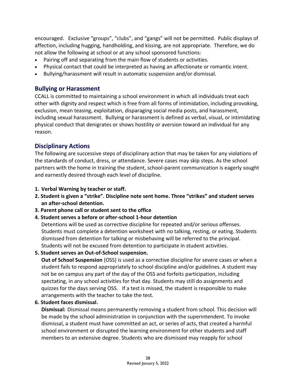encouraged. Exclusive "groups", "clubs", and "gangs" will not be permitted. Public displays of affection, including hugging, handholding, and kissing, are not appropriate. Therefore, we do not allow the following at school or at any school sponsored functions:

- Pairing off and separating from the main flow of students or activities.
- Physical contact that could be interpreted as having an affectionate or romantic intent.
- Bullying/harassment will result in automatic suspension and/or dismissal.

#### **Bullying or Harassment**

CCALL is committed to maintaining a school environment in which all individuals treat each other with dignity and respect which is free from all forms of intimidation, including provoking, exclusion, mean teasing, exploitation, disparaging social media posts, and harassment, including sexual harassment. Bullying or harassment is defined as verbal, visual, or intimidating physical conduct that denigrates or shows hostility or aversion toward an individual for any reason.

# **Disciplinary Actions**

The following are successive steps of disciplinary action that may be taken for any violations of the standards of conduct, dress, or attendance. Severe cases may skip steps. As the school partners with the home in training the student, school-parent communication is eagerly sought and earnestly desired through each level of discipline.

- **1. Verbal Warning by teacher or staff.**
- **2. Student is given a "strike". Discipline note sent home. Three "strikes" and student serves an after-school detention.**
- **3. Parent phone call or student sent to the office**
- **4. Student serves a before or after-school 1-hour detention**

Detentions will be used as corrective discipline for repeated and/or serious offenses. Students must complete a detention worksheet with no talking, resting, or eating. Students dismissed from detention for talking or misbehaving will be referred to the principal. Students will not be excused from detention to participate in student activities.

**5. Student serves an Out-of-School suspension.** 

**Out of School Suspension** (OSS) is used as a corrective discipline for severe cases or when a student fails to respond appropriately to school discipline and/or guidelines. A student may not be on campus any part of the day of the OSS and forfeits participation, including spectating, in any school activities for that day. Students may still do assignments and quizzes for the days serving OSS. If a test is missed, the student is responsible to make arrangements with the teacher to take the test.

**6. Student faces dismissal.** 

**Dismissal:** Dismissal means permanently removing a student from school. This decision will be made by the school administration in conjunction with the superintendent. To invoke dismissal, a student must have committed an act, or series of acts, that created a harmful school environment or disrupted the learning environment for other students and staff members to an extensive degree. Students who are dismissed may reapply for school